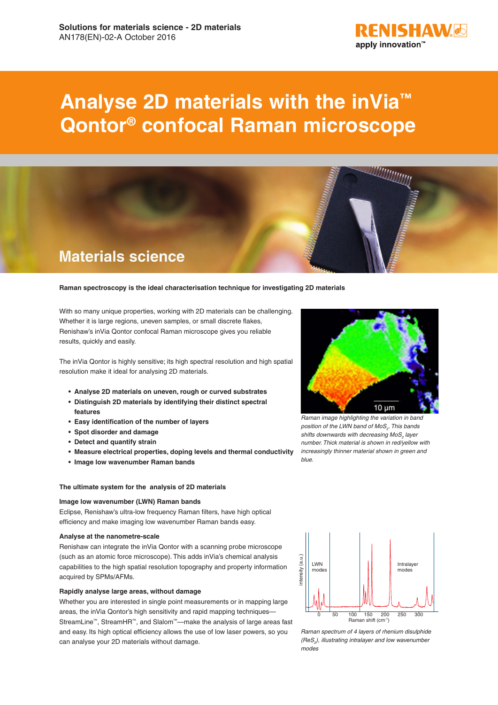

# **Analyse 2D materials with the inVia™ Qontor® confocal Raman microscope**



## **Raman spectroscopy is the ideal characterisation technique for investigating 2D materials**

With so many unique properties, working with 2D materials can be challenging. Whether it is large regions, uneven samples, or small discrete flakes, Renishaw's inVia Qontor confocal Raman microscope gives you reliable results, quickly and easily.

The inVia Qontor is highly sensitive; its high spectral resolution and high spatial resolution make it ideal for analysing 2D materials.

- **• Analyse 2D materials on uneven, rough or curved substrates**
- **• Distinguish 2D materials by identifying their distinct spectral features**
- **• Easy identification of the number of layers**
- **• Spot disorder and damage**
- **• Detect and quantify strain**
- **• Measure electrical properties, doping levels and thermal conductivity**
- **• Image low wavenumber Raman bands**

#### **The ultimate system for the analysis of 2D materials**

# **Image low wavenumber (LWN) Raman bands**

Eclipse, Renishaw's ultra-low frequency Raman filters, have high optical efficiency and make imaging low wavenumber Raman bands easy.

#### **Analyse at the nanometre-scale**

Renishaw can integrate the inVia Qontor with a scanning probe microscope (such as an atomic force microscope). This adds inVia's chemical analysis capabilities to the high spatial resolution topography and property information acquired by SPMs/AFMs.

#### **Rapidly analyse large areas, without damage**

Whether you are interested in single point measurements or in mapping large areas, the inVia Qontor's high sensitivity and rapid mapping techniques– StreamLine™, StreamHR™, and Slalom™—make the analysis of large areas fast and easy. Its high optical efficiency allows the use of low laser powers, so you can analyse your 2D materials without damage.



*Raman image highlighting the variation in band position of the LWN band of MoS<sub>2</sub>. This bands* shifts downwards with decreasing MoS<sub>2</sub> layer *number. Thick material is shown in red/yellow with increasingly thinner material shown in green and blue.*